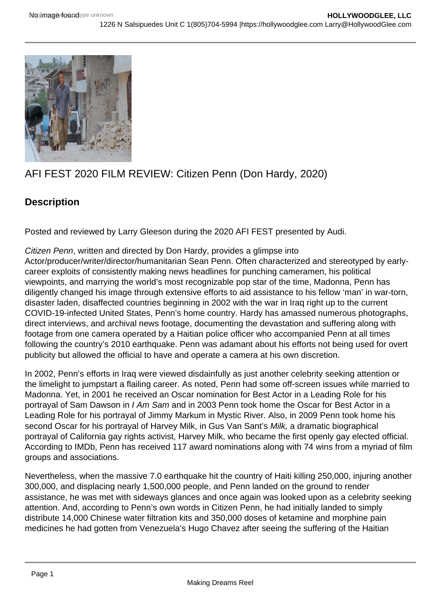

## AFI FEST 2020 FILM REVIEW: Citizen Penn (Don Hardy, 2020)

## **Description**

Posted and reviewed by Larry Gleeson during the 2020 AFI FEST presented by Audi.

Citizen Penn, written and directed by Don Hardy, provides a glimpse into Actor/producer/writer/director/humanitarian Sean Penn. Often characterized and stereotyped by earlycareer exploits of consistently making news headlines for punching cameramen, his political viewpoints, and marrying the world's most recognizable pop star of the time, Madonna, Penn has diligently changed his image through extensive efforts to aid assistance to his fellow 'man' in war-torn, disaster laden, disaffected countries beginning in 2002 with the war in Iraq right up to the current COVID-19-infected United States, Penn's home country. Hardy has amassed numerous photographs, direct interviews, and archival news footage, documenting the devastation and suffering along with footage from one camera operated by a Haitian police officer who accompanied Penn at all times following the country's 2010 earthquake. Penn was adamant about his efforts not being used for overt publicity but allowed the official to have and operate a camera at his own discretion.

In 2002, Penn's efforts in Iraq were viewed disdainfully as just another celebrity seeking attention or the limelight to jumpstart a flailing career. As noted, Penn had some off-screen issues while married to Madonna. Yet, in 2001 he received an Oscar nomination for Best Actor in a Leading Role for his portrayal of Sam Dawson in I Am Sam and in 2003 Penn took home the Oscar for Best Actor in a Leading Role for his portrayal of Jimmy Markum in Mystic River. Also, in 2009 Penn took home his second Oscar for his portrayal of Harvey Milk, in Gus Van Sant's Milk, a dramatic biographical portrayal of California gay rights activist, Harvey Milk, who became the first openly gay elected official. According to IMDb, Penn has received 117 award nominations along with 74 wins from a myriad of film groups and associations.

Nevertheless, when the massive 7.0 earthquake hit the country of Haiti killing 250,000, injuring another 300,000, and displacing nearly 1,500,000 people, and Penn landed on the ground to render assistance, he was met with sideways glances and once again was looked upon as a celebrity seeking attention. And, according to Penn's own words in Citizen Penn, he had initially landed to simply distribute 14,000 Chinese water filtration kits and 350,000 doses of ketamine and morphine pain medicines he had gotten from Venezuela's Hugo Chavez after seeing the suffering of the Haitian